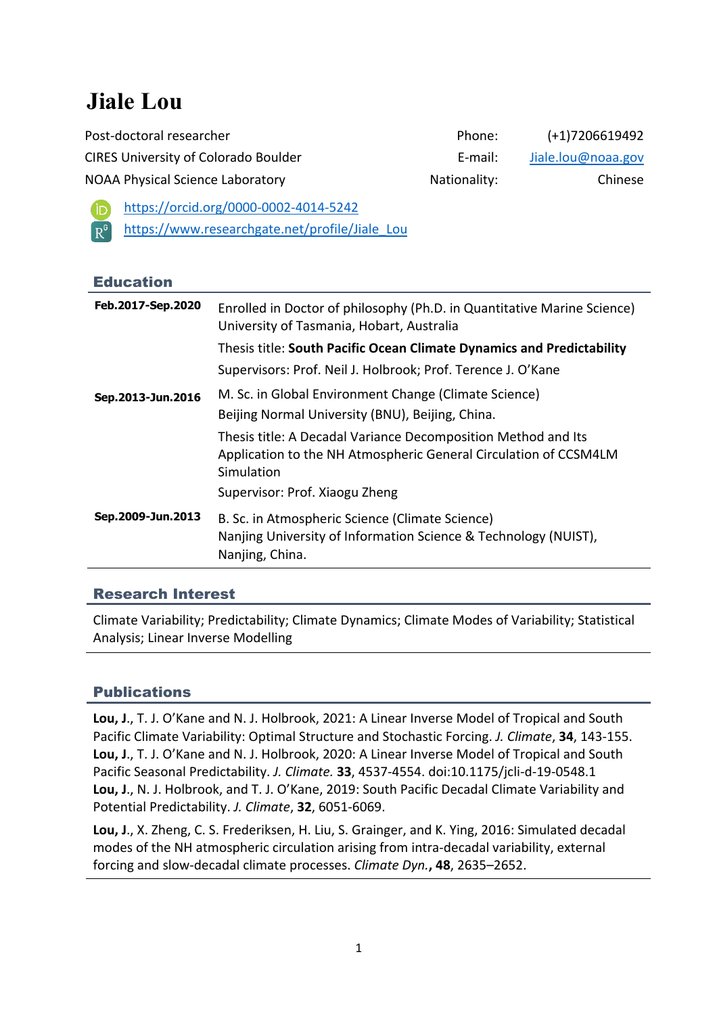# **Jiale Lou**

Post-doctoral researcher example and the Phone: (+1)7206619492 CIRES University of Colorado Boulder **E-mail:** Jiale.lou@noaa.gov NOAA Physical Science Laboratory **Nationality:** Nationality: Chinese

 https://orcid.org/0000-0002-4014-5242 R<sup>6</sup> https://www.researchgate.net/profile/Jiale Lou

# Education

| Feb.2017-Sep.2020 | Enrolled in Doctor of philosophy (Ph.D. in Quantitative Marine Science)<br>University of Tasmania, Hobart, Australia                            |
|-------------------|-------------------------------------------------------------------------------------------------------------------------------------------------|
|                   | Thesis title: South Pacific Ocean Climate Dynamics and Predictability                                                                           |
|                   | Supervisors: Prof. Neil J. Holbrook; Prof. Terence J. O'Kane                                                                                    |
| Sep.2013-Jun.2016 | M. Sc. in Global Environment Change (Climate Science)<br>Beijing Normal University (BNU), Beijing, China.                                       |
|                   | Thesis title: A Decadal Variance Decomposition Method and Its<br>Application to the NH Atmospheric General Circulation of CCSM4LM<br>Simulation |
|                   | Supervisor: Prof. Xiaogu Zheng                                                                                                                  |
| Sep.2009-Jun.2013 | B. Sc. in Atmospheric Science (Climate Science)<br>Nanjing University of Information Science & Technology (NUIST),<br>Nanjing, China.           |

# Research Interest

Climate Variability; Predictability; Climate Dynamics; Climate Modes of Variability; Statistical Analysis; Linear Inverse Modelling

# Publications

**Lou, J**., T. J. O'Kane and N. J. Holbrook, 2021: A Linear Inverse Model of Tropical and South Pacific Climate Variability: Optimal Structure and Stochastic Forcing. *J. Climate*, **34**, 143-155. **Lou, J**., T. J. O'Kane and N. J. Holbrook, 2020: A Linear Inverse Model of Tropical and South Pacific Seasonal Predictability. *J. Climate.* **33**, 4537-4554. doi:10.1175/jcli-d-19-0548.1 **Lou, J**., N. J. Holbrook, and T. J. O'Kane, 2019: South Pacific Decadal Climate Variability and Potential Predictability. *J. Climate*, **32**, 6051-6069.

**Lou, J**., X. Zheng, C. S. Frederiksen, H. Liu, S. Grainger, and K. Ying, 2016: Simulated decadal modes of the NH atmospheric circulation arising from intra-decadal variability, external forcing and slow-decadal climate processes. *Climate Dyn.***, 48**, 2635–2652.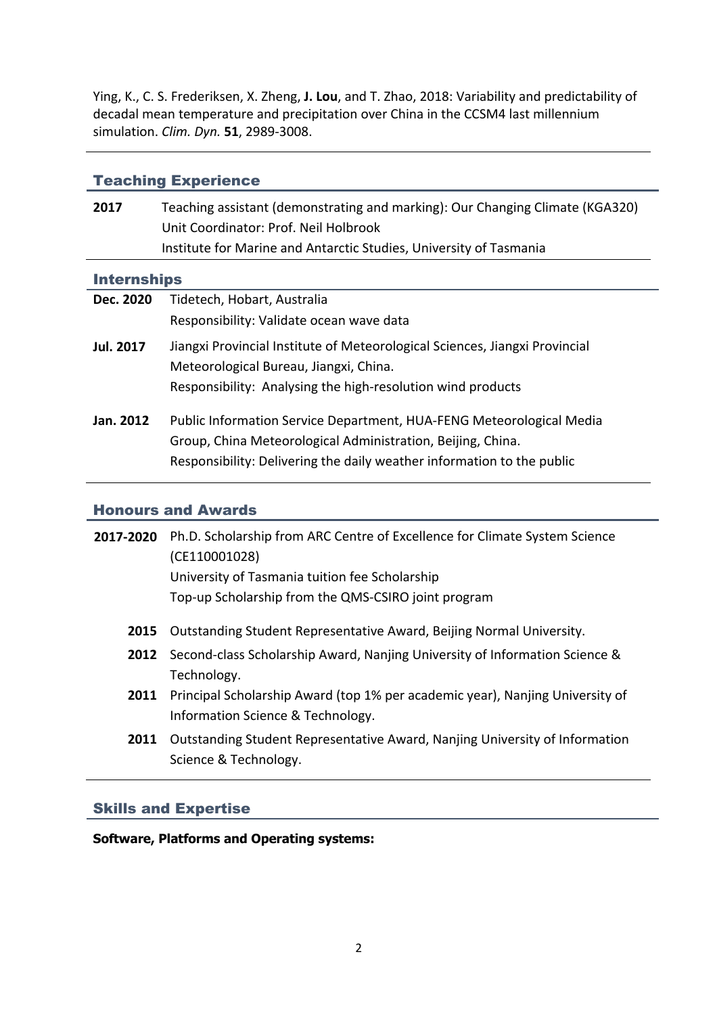Ying, K., C. S. Frederiksen, X. Zheng, **J. Lou**, and T. Zhao, 2018: Variability and predictability of decadal mean temperature and precipitation over China in the CCSM4 last millennium simulation. *Clim. Dyn.* **51**, 2989-3008.

| <b>Teaching Experience</b> |                                                                                                                                                                                                               |  |
|----------------------------|---------------------------------------------------------------------------------------------------------------------------------------------------------------------------------------------------------------|--|
| 2017                       | Teaching assistant (demonstrating and marking): Our Changing Climate (KGA320)<br>Unit Coordinator: Prof. Neil Holbrook<br>Institute for Marine and Antarctic Studies, University of Tasmania                  |  |
| <b>Internships</b>         |                                                                                                                                                                                                               |  |
| Dec. 2020                  | Tidetech, Hobart, Australia<br>Responsibility: Validate ocean wave data                                                                                                                                       |  |
| <b>Jul. 2017</b>           | Jiangxi Provincial Institute of Meteorological Sciences, Jiangxi Provincial<br>Meteorological Bureau, Jiangxi, China.<br>Responsibility: Analysing the high-resolution wind products                          |  |
| Jan. 2012                  | Public Information Service Department, HUA-FENG Meteorological Media<br>Group, China Meteorological Administration, Beijing, China.<br>Responsibility: Delivering the daily weather information to the public |  |

#### Honours and Awards

| 2017-2020 | Ph.D. Scholarship from ARC Centre of Excellence for Climate System Science<br>(CE110001028)<br>University of Tasmania tuition fee Scholarship<br>Top-up Scholarship from the QMS-CSIRO joint program |
|-----------|------------------------------------------------------------------------------------------------------------------------------------------------------------------------------------------------------|
| 2015      | Outstanding Student Representative Award, Beijing Normal University.                                                                                                                                 |
| 2012      | Second-class Scholarship Award, Nanjing University of Information Science &<br>Technology.                                                                                                           |
| 2011      | Principal Scholarship Award (top 1% per academic year), Nanjing University of<br>Information Science & Technology.                                                                                   |
| 2011      | Outstanding Student Representative Award, Nanjing University of Information<br>Science & Technology.                                                                                                 |

# Skills and Expertise

**Software, Platforms and Operating systems:**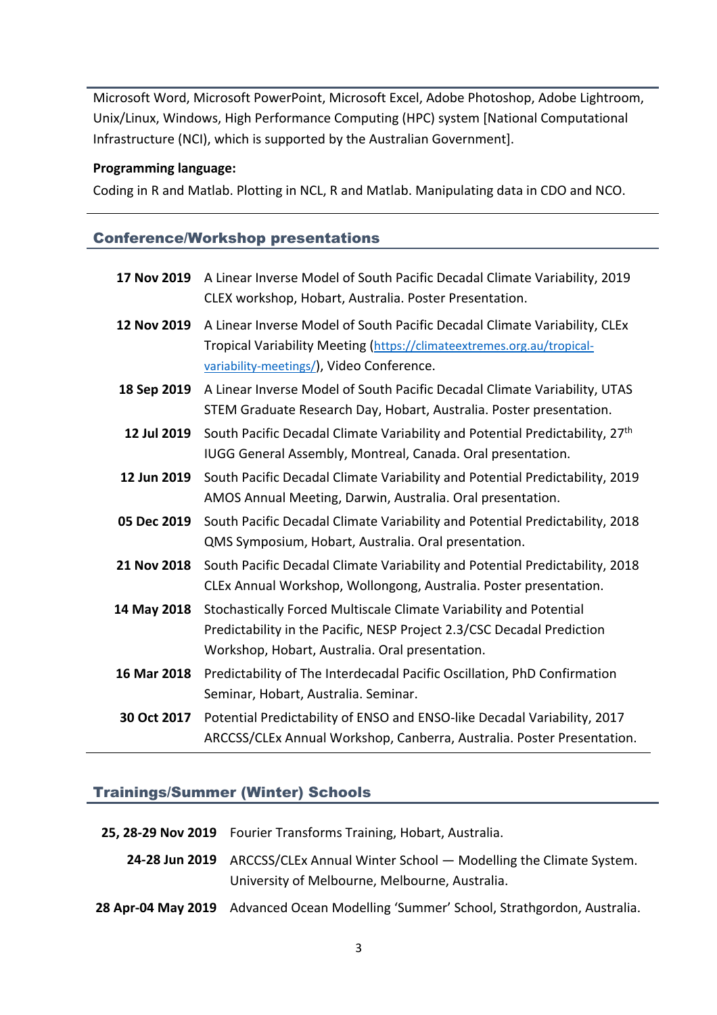Microsoft Word, Microsoft PowerPoint, Microsoft Excel, Adobe Photoshop, Adobe Lightroom, Unix/Linux, Windows, High Performance Computing (HPC) system [National Computational Infrastructure (NCI), which is supported by the Australian Government].

#### **Programming language:**

Coding in R and Matlab. Plotting in NCL, R and Matlab. Manipulating data in CDO and NCO.

#### Conference/Workshop presentations

| 17 Nov 2019 | A Linear Inverse Model of South Pacific Decadal Climate Variability, 2019<br>CLEX workshop, Hobart, Australia. Poster Presentation.                                                              |
|-------------|--------------------------------------------------------------------------------------------------------------------------------------------------------------------------------------------------|
| 12 Nov 2019 | A Linear Inverse Model of South Pacific Decadal Climate Variability, CLEx<br>Tropical Variability Meeting (https://climateextremes.org.au/tropical-<br>variability-meetings/), Video Conference. |
| 18 Sep 2019 | A Linear Inverse Model of South Pacific Decadal Climate Variability, UTAS<br>STEM Graduate Research Day, Hobart, Australia. Poster presentation.                                                 |
| 12 Jul 2019 | South Pacific Decadal Climate Variability and Potential Predictability, 27 <sup>th</sup><br>IUGG General Assembly, Montreal, Canada. Oral presentation.                                          |
| 12 Jun 2019 | South Pacific Decadal Climate Variability and Potential Predictability, 2019<br>AMOS Annual Meeting, Darwin, Australia. Oral presentation.                                                       |
| 05 Dec 2019 | South Pacific Decadal Climate Variability and Potential Predictability, 2018<br>QMS Symposium, Hobart, Australia. Oral presentation.                                                             |
| 21 Nov 2018 | South Pacific Decadal Climate Variability and Potential Predictability, 2018<br>CLEx Annual Workshop, Wollongong, Australia. Poster presentation.                                                |
| 14 May 2018 | Stochastically Forced Multiscale Climate Variability and Potential<br>Predictability in the Pacific, NESP Project 2.3/CSC Decadal Prediction<br>Workshop, Hobart, Australia. Oral presentation.  |
| 16 Mar 2018 | Predictability of The Interdecadal Pacific Oscillation, PhD Confirmation<br>Seminar, Hobart, Australia. Seminar.                                                                                 |
| 30 Oct 2017 | Potential Predictability of ENSO and ENSO-like Decadal Variability, 2017<br>ARCCSS/CLEx Annual Workshop, Canberra, Australia. Poster Presentation.                                               |

### Trainings/Summer (Winter) Schools

| 25, 28-29 Nov 2019 Fourier Transforms Training, Hobart, Australia.                    |
|---------------------------------------------------------------------------------------|
| 24-28 Jun 2019 ARCCSS/CLEx Annual Winter School — Modelling the Climate System.       |
| University of Melbourne, Melbourne, Australia.                                        |
| 28 Apr-04 May 2019 Advanced Ocean Modelling 'Summer' School, Strathgordon, Australia. |